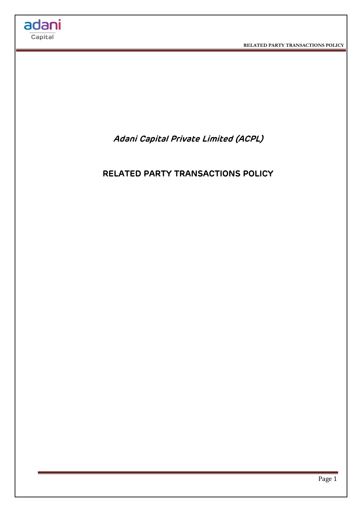

**RELATED PARTY TRANSACTIONS POLICY** 



# **RELATED PARTY TRANSACTIONS POLICY**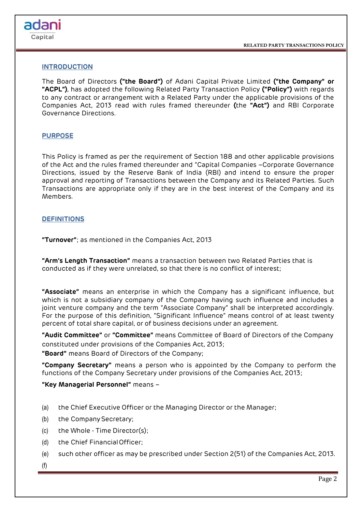**RELATED PARTY TRANSACTIONS POLICY** 

# **INTRODUCTION**

adani Capital

> The Board of Directors **("the Board")** of Adani Capital Private Limited **("the Company" or "ACPL")**, has adopted the following Related Party Transaction Policy **("Policy")** with regards to any contract or arrangement with a Related Party under the applicable provisions of the Companies Act, 2013 read with rules framed thereunder **(**the **"Act")** and RBI Corporate Governance Directions.

## **PURPOSE**

This Policy is framed as per the requirement of Section 188 and other applicable provisions of the Act and the rules framed thereunder and "Capital Companies –Corporate Governance Directions, issued by the Reserve Bank of India (RBI) and intend to ensure the proper approval and reporting of Transactions between the Company and its Related Parties. Such Transactions are appropriate only if they are in the best interest of the Company and its Members.

## **DEFINITIONS**

**"Turnover"**; as mentioned in the Companies Act, 2013

**"Arm's Length Transaction"** means a transaction between two Related Parties that is conducted as if they were unrelated, so that there is no conflict of interest;

**"Associate"** means an enterprise in which the Company has a significant influence, but which is not a subsidiary company of the Company having such influence and includes a joint venture company and the term "Associate Company" shall be interpreted accordingly. For the purpose of this definition, "Significant Influence" means control of at least twenty percent of total share capital, or of business decisions under an agreement.

**"Audit Committee"** or **"Committee"** means Committee of Board of Directors of the Company constituted under provisions of the Companies Act, 2013;

**"Board"** means Board of Directors of the Company;

**"Company Secretary"** means a person who is appointed by the Company to perform the functions of the Company Secretary under provisions of the Companies Act, 2013;

**"Key Managerial Personnel"** means –

- (a) the Chief Executive Officer or the Managing Director or the Manager;
- (b) the Company Secretary;
- (c) the Whole Time Director(s);
- (d) the Chief FinancialOfficer;
- (e) such other officer as may be prescribed under Section 2(51) of the Companies Act, 2013.
- (f)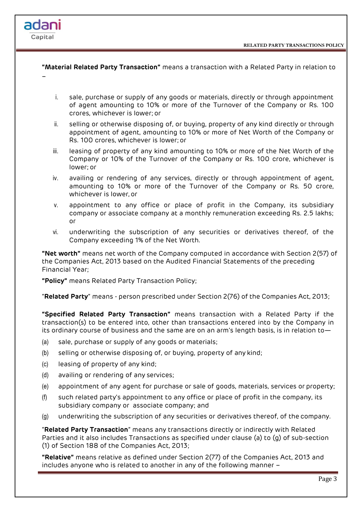

**"Material Related Party Transaction"** means a transaction with a Related Party in relation to

- i. sale, purchase or supply of any goods or materials, directly or through appointment of agent amounting to 10% or more of the Turnover of the Company or Rs. 100 crores, whichever is lower; or
- ii. selling or otherwise disposing of, or buying, property of any kind directly or through appointment of agent, amounting to 10% or more of Net Worth of the Company or Rs. 100 crores, whichever is lower; or
- iii. leasing of property of any kind amounting to 10% or more of the Net Worth of the Company or 10% of the Turnover of the Company or Rs. 100 crore, whichever is lower; or
- iv. availing or rendering of any services, directly or through appointment of agent, amounting to 10% or more of the Turnover of the Company or Rs. 50 crore, whichever is lower, or
- v. appointment to any office or place of profit in the Company, its subsidiary company or associate company at a monthly remuneration exceeding Rs. 2.5 lakhs; or
- vi. underwriting the subscription of any securities or derivatives thereof, of the Company exceeding 1% of the Net Worth.

**"Net worth"** means net worth of the Company computed in accordance with Section 2(57) of the Companies Act, 2013 based on the Audited Financial Statements of the preceding Financial Year;

**"Policy"** means Related Party Transaction Policy;

"**Related Party**" means - person prescribed under Section 2(76) of the Companies Act, 2013;

**"Specified Related Party Transaction"** means transaction with a Related Party if the transaction(s) to be entered into, other than transactions entered into by the Company in its ordinary course of business and the same are on an arm's length basis, is in relation to—

- (a) sale, purchase or supply of any goods or materials;
- (b) selling or otherwise disposing of, or buying, property of any kind;
- (c) leasing of property of any kind;

–

adani Capital

- (d) availing or rendering of any services;
- (e) appointment of any agent for purchase or sale of goods, materials, services or property;
- (f) such related party's appointment to any office or place of profit in the company, its subsidiary company or associate company; and
- (g) underwriting the subscription of any securities or derivatives thereof, of the company.

"**Related Party Transaction**" means any transactions directly or indirectly with Related Parties and it also includes Transactions as specified under clause (a) to (g) of sub-section (1) of Section 188 of the Companies Act, 2013;

**"Relative"** means relative as defined under Section 2(77) of the Companies Act, 2013 and includes anyone who is related to another in any of the following manner –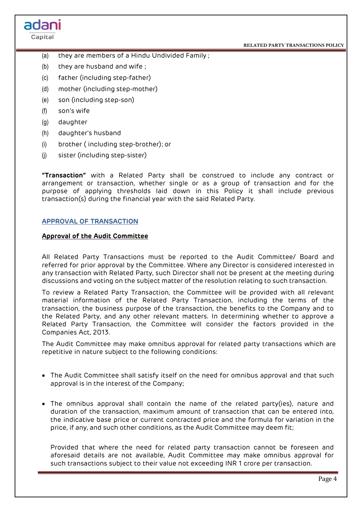

- (a) they are members of a Hindu Undivided Family ;
- (b) they are husband and wife ;
- (c) father (including step-father)
- (d) mother (including step-mother)
- (e) son (including step-son)
- (f) son's wife

adani Capital

- (g) daughter
- (h) daughter's husband
- (i) brother ( including step-brother); or
- (j) sister (including step-sister)

**"Transaction"** with a Related Party shall be construed to include any contract or arrangement or transaction, whether single or as a group of transaction and for the purpose of applying thresholds laid down in this Policy it shall include previous transaction(s) during the financial year with the said Related Party.

# **APPROVAL OF TRANSACTION**

# **Approval of the Audit Committee**

All Related Party Transactions must be reported to the Audit Committee/ Board and referred for prior approval by the Committee. Where any Director is considered interested in any transaction with Related Party, such Director shall not be present at the meeting during discussions and voting on the subject matter of the resolution relating to such transaction.

To review a Related Party Transaction, the Committee will be provided with all relevant material information of the Related Party Transaction, including the terms of the transaction, the business purpose of the transaction, the benefits to the Company and to the Related Party, and any other relevant matters. In determining whether to approve a Related Party Transaction, the Committee will consider the factors provided in the Companies Act, 2013.

The Audit Committee may make omnibus approval for related party transactions which are repetitive in nature subject to the following conditions:

- The Audit Committee shall satisfy itself on the need for omnibus approval and that such approval is in the interest of the Company;
- The omnibus approval shall contain the name of the related party(ies), nature and duration of the transaction, maximum amount of transaction that can be entered into, the indicative base price or current contracted price and the formula for variation in the price, if any, and such other conditions, as the Audit Committee may deem fit;

Provided that where the need for related party transaction cannot be foreseen and aforesaid details are not available, Audit Committee may make omnibus approval for such transactions subject to their value not exceeding INR 1 crore per transaction.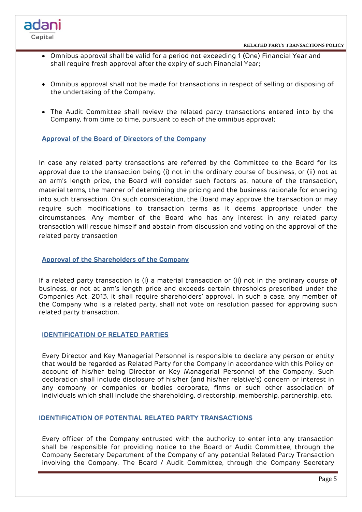

- Omnibus approval shall be valid for a period not exceeding 1 (One) Financial Year and shall require fresh approval after the expiry of such Financial Year;
- Omnibus approval shall not be made for transactions in respect of selling or disposing of the undertaking of the Company.
- The Audit Committee shall review the related party transactions entered into by the Company, from time to time, pursuant to each of the omnibus approval;

## **Approval of the Board of Directors of the Company**

adani

Capital

In case any related party transactions are referred by the Committee to the Board for its approval due to the transaction being (i) not in the ordinary course of business, or (ii) not at an arm's length price, the Board will consider such factors as, nature of the transaction, material terms, the manner of determining the pricing and the business rationale for entering into such transaction. On such consideration, the Board may approve the transaction or may require such modifications to transaction terms as it deems appropriate under the circumstances. Any member of the Board who has any interest in any related party transaction will rescue himself and abstain from discussion and voting on the approval of the related party transaction

#### **Approval of the Shareholders of the Company**

If a related party transaction is (i) a material transaction or (ii) not in the ordinary course of business, or not at arm's length price and exceeds certain thresholds prescribed under the Companies Act, 2013, it shall require shareholders' approval. In such a case, any member of the Company who is a related party, shall not vote on resolution passed for approving such related party transaction.

# **IDENTIFICATION OF RELATED PARTIES**

Every Director and Key Managerial Personnel is responsible to declare any person or entity that would be regarded as Related Party for the Company in accordance with this Policy on account of his/her being Director or Key Managerial Personnel of the Company. Such declaration shall include disclosure of his/her (and his/her relative's) concern or interest in any company or companies or bodies corporate, firms or such other association of individuals which shall include the shareholding, directorship, membership, partnership, etc.

#### **IDENTIFICATION OF POTENTIAL RELATED PARTY TRANSACTIONS**

Every officer of the Company entrusted with the authority to enter into any transaction shall be responsible for providing notice to the Board or Audit Committee, through the Company Secretary Department of the Company of any potential Related Party Transaction involving the Company. The Board / Audit Committee, through the Company Secretary